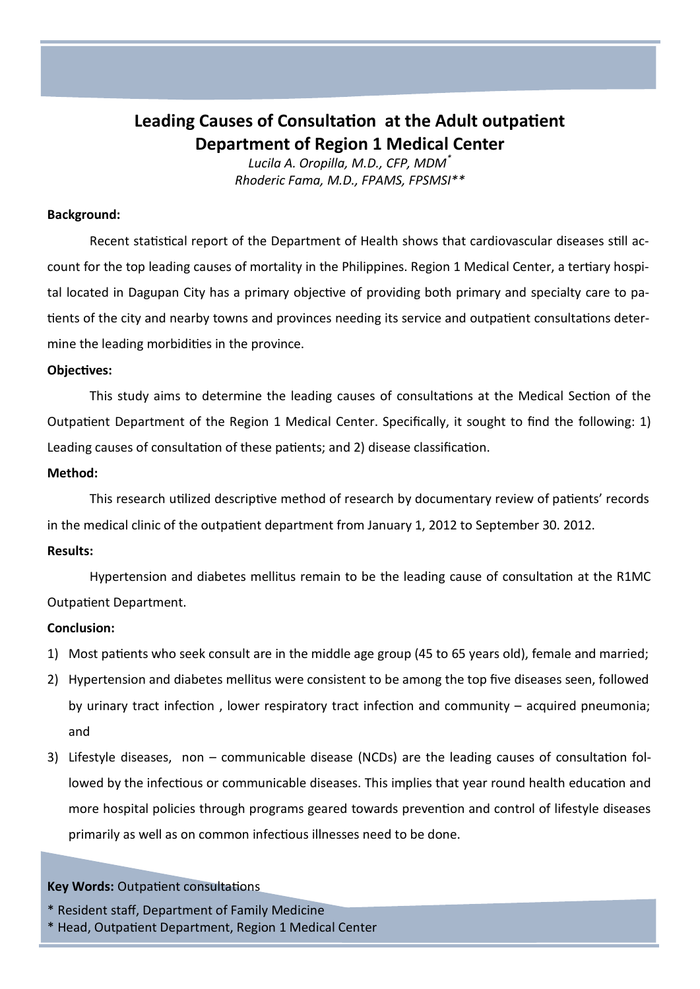# **Leading Causes of Consultation at the Adult outpatient Department of Region 1 Medical Center**

*Lucila A. Oropilla, M.D., CFP, MDM\* Rhoderic Fama, M.D., FPAMS, FPSMSI\*\**

### **Background:**

Recent statistical report of the Department of Health shows that cardiovascular diseases still account for the top leading causes of mortality in the Philippines. Region 1 Medical Center, a tertiary hospital located in Dagupan City has a primary objective of providing both primary and specialty care to patients of the city and nearby towns and provinces needing its service and outpatient consultations determine the leading morbidities in the province.

## **Objectives:**

This study aims to determine the leading causes of consultations at the Medical Section of the Outpatient Department of the Region 1 Medical Center. Specifically, it sought to find the following: 1) Leading causes of consultation of these patients; and 2) disease classification.

### **Method:**

This research utilized descriptive method of research by documentary review of patients' records in the medical clinic of the outpatient department from January 1, 2012 to September 30. 2012.

# **Results:**

Hypertension and diabetes mellitus remain to be the leading cause of consultation at the R1MC Outpatient Department.

# **Conclusion:**

- 1) Most patients who seek consult are in the middle age group (45 to 65 years old), female and married;
- 2) Hypertension and diabetes mellitus were consistent to be among the top five diseases seen, followed by urinary tract infection , lower respiratory tract infection and community – acquired pneumonia; and
- 3) Lifestyle diseases, non communicable disease (NCDs) are the leading causes of consultation followed by the infectious or communicable diseases. This implies that year round health education and more hospital policies through programs geared towards prevention and control of lifestyle diseases primarily as well as on common infectious illnesses need to be done.

# **Key Words:** Outpatient consultations

\* Head, Outpatient Department, Region 1 Medical Center

<sup>\*</sup> Resident staff, Department of Family Medicine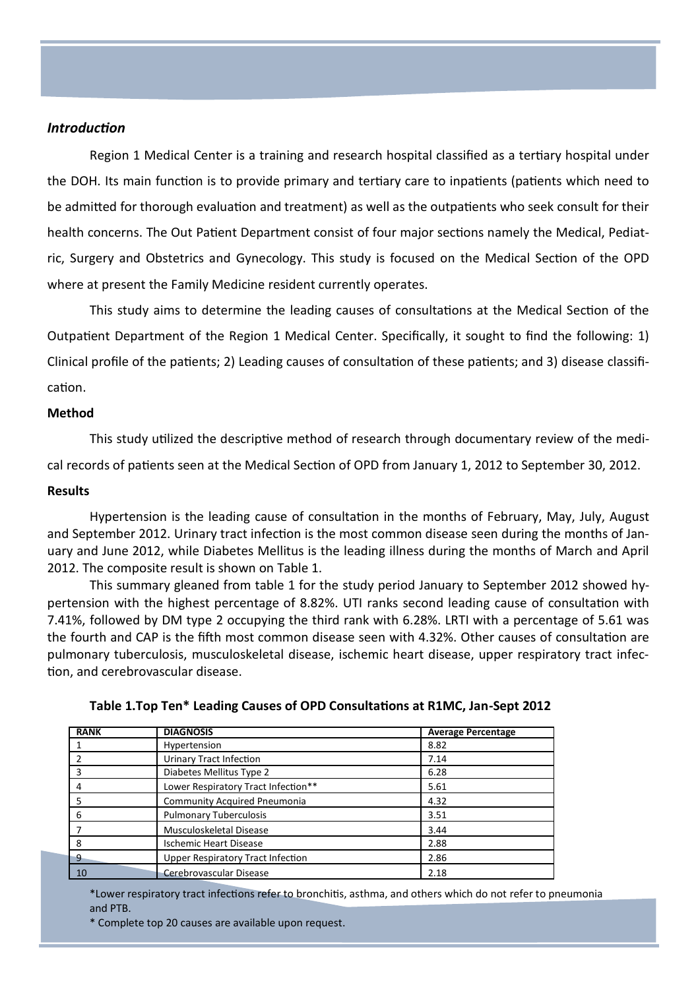# *Introduction*

Region 1 Medical Center is a training and research hospital classified as a tertiary hospital under the DOH. Its main function is to provide primary and tertiary care to inpatients (patients which need to be admitted for thorough evaluation and treatment) as well as the outpatients who seek consult for their health concerns. The Out Patient Department consist of four major sections namely the Medical, Pediatric, Surgery and Obstetrics and Gynecology. This study is focused on the Medical Section of the OPD where at present the Family Medicine resident currently operates.

This study aims to determine the leading causes of consultations at the Medical Section of the Outpatient Department of the Region 1 Medical Center. Specifically, it sought to find the following: 1) Clinical profile of the patients; 2) Leading causes of consultation of these patients; and 3) disease classification.

#### **Method**

This study utilized the descriptive method of research through documentary review of the medical records of patients seen at the Medical Section of OPD from January 1, 2012 to September 30, 2012.

#### **Results**

Hypertension is the leading cause of consultation in the months of February, May, July, August and September 2012. Urinary tract infection is the most common disease seen during the months of January and June 2012, while Diabetes Mellitus is the leading illness during the months of March and April 2012. The composite result is shown on Table 1.

This summary gleaned from table 1 for the study period January to September 2012 showed hypertension with the highest percentage of 8.82%. UTI ranks second leading cause of consultation with 7.41%, followed by DM type 2 occupying the third rank with 6.28%. LRTI with a percentage of 5.61 was the fourth and CAP is the fifth most common disease seen with 4.32%. Other causes of consultation are pulmonary tuberculosis, musculoskeletal disease, ischemic heart disease, upper respiratory tract infection, and cerebrovascular disease.

| <b>RANK</b> | <b>DIAGNOSIS</b>                    | <b>Average Percentage</b> |
|-------------|-------------------------------------|---------------------------|
|             | Hypertension                        | 8.82                      |
|             | <b>Urinary Tract Infection</b>      | 7.14                      |
| 3           | Diabetes Mellitus Type 2            | 6.28                      |
|             | Lower Respiratory Tract Infection** | 5.61                      |
|             | <b>Community Acquired Pneumonia</b> | 4.32                      |
| 6           | <b>Pulmonary Tuberculosis</b>       | 3.51                      |
|             | Musculoskeletal Disease             | 3.44                      |
| -8          | <b>Ischemic Heart Disease</b>       | 2.88                      |
| $\cdot$ 9   | Upper Respiratory Tract Infection   | 2.86                      |
| 10          | Cerebrovascular Disease             | 2.18                      |

**Table 1.Top Ten\* Leading Causes of OPD Consultations at R1MC, Jan-Sept 2012**

\*Lower respiratory tract infections refer to bronchitis, asthma, and others which do not refer to pneumonia and PTB.

\* Complete top 20 causes are available upon request.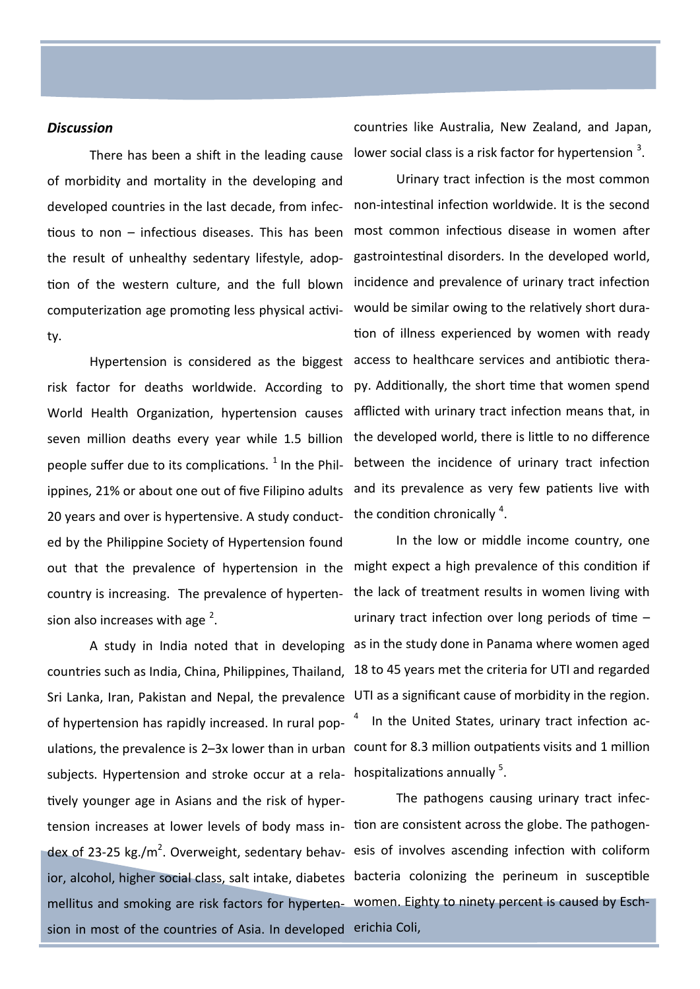#### *Discussion*

There has been a shift in the leading cause of morbidity and mortality in the developing and developed countries in the last decade, from infectious to non – infectious diseases. This has been the result of unhealthy sedentary lifestyle, adopcomputerization age promoting less physical activity.

Hypertension is considered as the biggest World Health Organization, hypertension causes seven million deaths every year while 1.5 billion people suffer due to its complications.  $1$  In the Philippines, 21% or about one out of five Filipino adults 20 years and over is hypertensive. A study conduct- the condition chronically  $^4$ . ed by the Philippine Society of Hypertension found country is increasing. The prevalence of hypertension also increases with age  $2$ .

subjects. Hypertension and stroke occur at a rela- hospitalizations annually  $5$ . tively younger age in Asians and the risk of hypertension increases at lower levels of body mass in- tion are consistent across the globe. The pathogenmellitus and smoking are risk factors for hyperten-women. Eighty to ninety percent is caused by Eschsion in most of the countries of Asia. In developed erichia Coli,

countries like Australia, New Zealand, and Japan, lower social class is a risk factor for hypertension  $3$ .

tion of the western culture, and the full blown incidence and prevalence of urinary tract infection risk factor for deaths worldwide. According to py. Additionally, the short time that women spend Urinary tract infection is the most common non-intestinal infection worldwide. It is the second most common infectious disease in women after gastrointestinal disorders. In the developed world, would be similar owing to the relatively short duration of illness experienced by women with ready access to healthcare services and antibiotic theraafflicted with urinary tract infection means that, in the developed world, there is little to no difference between the incidence of urinary tract infection and its prevalence as very few patients live with

out that the prevalence of hypertension in the might expect a high prevalence of this condition if A study in India noted that in developing as in the study done in Panama where women aged countries such as India, China, Philippines, Thailand, 18 to 45 years met the criteria for UTI and regarded Sri Lanka, Iran, Pakistan and Nepal, the prevalence UTI as a significant cause of morbidity in the region. of hypertension has rapidly increased. In rural pop-  $4$  ln the United States, urinary tract infection aculations, the prevalence is 2–3x lower than in urban count for 8.3 million outpatients visits and 1 million In the low or middle income country, one the lack of treatment results in women living with urinary tract infection over long periods of time –

dex of 23-25 kg./m<sup>2</sup>. Overweight, sedentary behav- esis of involves ascending infection with coliform ior, alcohol, higher social class, salt intake, diabetes bacteria colonizing the perineum in susceptible The pathogens causing urinary tract infec-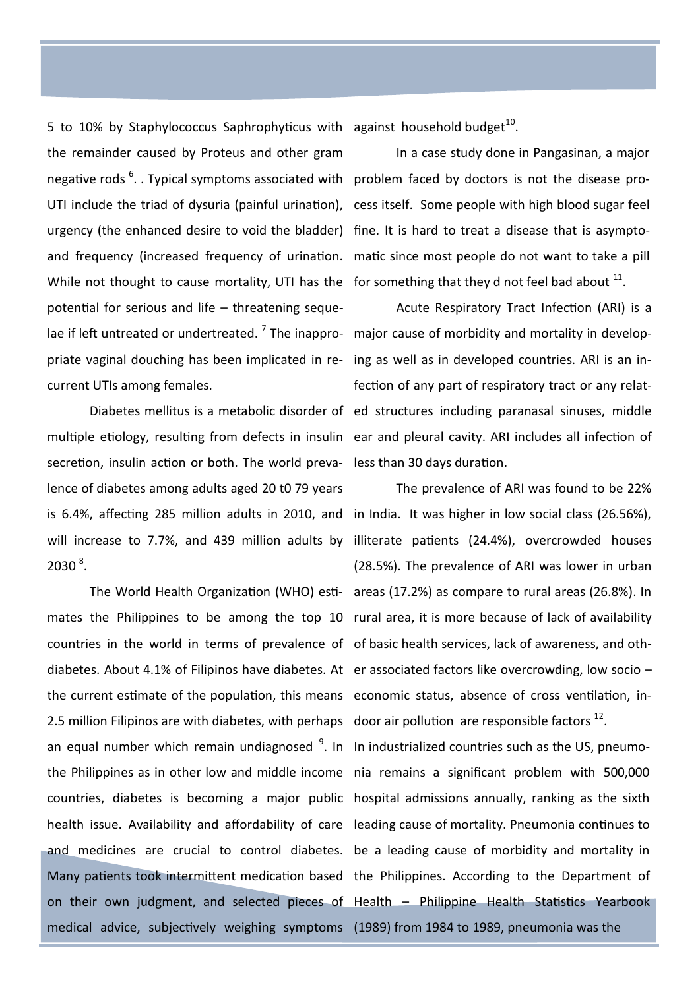5 to 10% by Staphylococcus Saphrophyticus with against household budget $^{10}$ . the remainder caused by Proteus and other gram negative rods <sup>6</sup>. . Typical symptoms associated with problem faced by doctors is not the disease pro-UTI include the triad of dysuria (painful urination), cess itself. Some people with high blood sugar feel urgency (the enhanced desire to void the bladder) fine. It is hard to treat a disease that is asymptoand frequency (increased frequency of urination. matic since most people do not want to take a pill While not thought to cause mortality, UTI has the for something that they d not feel bad about  $^{11}$ . potential for serious and life – threatening sequelae if left untreated or undertreated. <sup>7</sup> The inappro- major cause of morbidity and mortality in developpriate vaginal douching has been implicated in re-ing as well as in developed countries. ARI is an incurrent UTIs among females.

secretion, insulin action or both. The world preva-less than 30 days duration. lence of diabetes among adults aged 20 t0 79 years  $2030^{8}$ .

countries in the world in terms of prevalence of of basic health services, lack of awareness, and othdiabetes. About 4.1% of Filipinos have diabetes. At er associated factors like overcrowding, low socio the current estimate of the population, this means economic status, absence of cross ventilation, in-2.5 million Filipinos are with diabetes, with perhaps door air pollution are responsible factors  $^{12}$ . an equal number which remain undiagnosed <sup>9</sup>. In In industrialized countries such as the US, pneumothe Philippines as in other low and middle income nia remains a significant problem with 500,000 countries, diabetes is becoming a major public hospital admissions annually, ranking as the sixth health issue. Availability and affordability of care leading cause of mortality. Pneumonia continues to and medicines are crucial to control diabetes. be a leading cause of morbidity and mortality in Many patients took intermittent medication based the Philippines. According to the Department of on their own judgment, and selected pieces of Health – Philippine Health Statistics Yearbook medical advice, subjectively weighing symptoms (1989) from 1984 to 1989, pneumonia was the

In a case study done in Pangasinan, a major

Diabetes mellitus is a metabolic disorder of ed structures including paranasal sinuses, middle multiple etiology, resulting from defects in insulin ear and pleural cavity. ARI includes all infection of Acute Respiratory Tract Infection (ARI) is a fection of any part of respiratory tract or any relat-

is 6.4%, affecting 285 million adults in 2010, and in India. It was higher in low social class (26.56%), will increase to 7.7%, and 439 million adults by illiterate patients (24.4%), overcrowded houses The World Health Organization (WHO) esti- areas (17.2%) as compare to rural areas (26.8%). In mates the Philippines to be among the top 10 rural area, it is more because of lack of availability The prevalence of ARI was found to be 22% (28.5%). The prevalence of ARI was lower in urban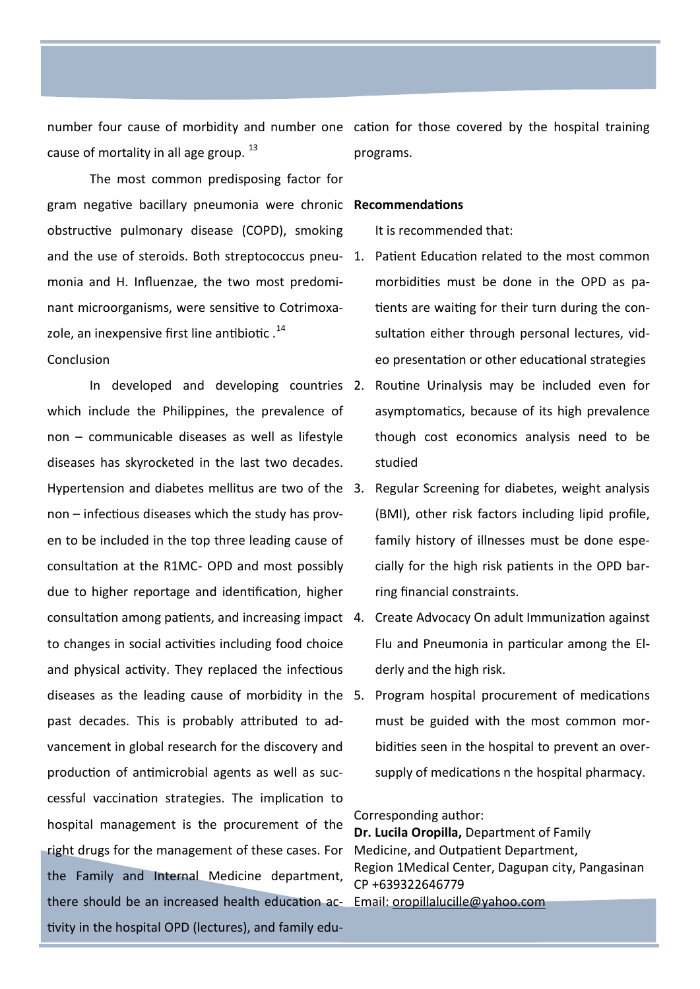cause of mortality in all age group. <sup>13</sup>

The most common predisposing factor for gram negative bacillary pneumonia were chronic **Recommendations** obstructive pulmonary disease (COPD), smoking and the use of steroids. Both streptococcus pneu-1. Patient Education related to the most common monia and H. Influenzae, the two most predominant microorganisms, were sensitive to Cotrimoxazole, an inexpensive first line antibiotic.<sup>14</sup> Conclusion

In developed and developing countries 2. which include the Philippines, the prevalence of non – communicable diseases as well as lifestyle diseases has skyrocketed in the last two decades. Hypertension and diabetes mellitus are two of the non – infectious diseases which the study has proven to be included in the top three leading cause of consultation at the R1MC- OPD and most possibly due to higher reportage and identification, higher consultation among patients, and increasing impact to changes in social activities including food choice and physical activity. They replaced the infectious diseases as the leading cause of morbidity in the past decades. This is probably attributed to advancement in global research for the discovery and production of antimicrobial agents as well as successful vaccination strategies. The implication to hospital management is the procurement of the right drugs for the management of these cases. For the Family and Internal Medicine department, there should be an increased health education ac- Email: <u>[oropillalucille@yahoo.com](mailto:oropillalucille@yahoo.com)</u> tivity in the hospital OPD (lectures), and family edu-

number four cause of morbidity and number one cation for those covered by the hospital training programs.

It is recommended that:

- morbidities must be done in the OPD as patients are waiting for their turn during the consultation either through personal lectures, video presentation or other educational strategies
- Routine Urinalysis may be included even for asymptomatics, because of its high prevalence though cost economics analysis need to be studied
- Regular Screening for diabetes, weight analysis (BMI), other risk factors including lipid profile, family history of illnesses must be done especially for the high risk patients in the OPD barring financial constraints.
- 4. Create Advocacy On adult Immunization against Flu and Pneumonia in particular among the Elderly and the high risk.
- 5. Program hospital procurement of medications must be guided with the most common morbidities seen in the hospital to prevent an oversupply of medications n the hospital pharmacy.

#### Corresponding author:

**Dr. Lucila Oropilla,** Department of Family Medicine, and Outpatient Department, Region 1Medical Center, Dagupan city, Pangasinan CP +639322646779